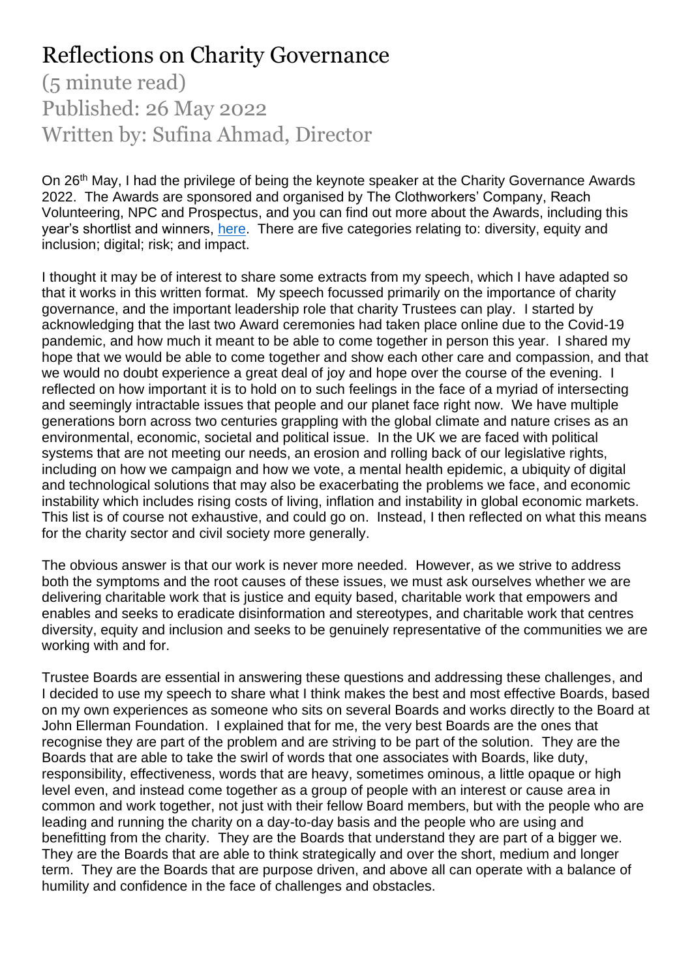## Reflections on Charity Governance

(5 minute read) Published: 26 May 2022 Written by: Sufina Ahmad, Director

On 26<sup>th</sup> May, I had the privilege of being the keynote speaker at the Charity Governance Awards 2022. The Awards are sponsored and organised by The Clothworkers' Company, Reach Volunteering, NPC and Prospectus, and you can find out more about the Awards, including this year's shortlist and winners, [here.](https://www.charitygovernanceawards.co.uk/) There are five categories relating to: diversity, equity and inclusion; digital; risk; and impact.

I thought it may be of interest to share some extracts from my speech, which I have adapted so that it works in this written format. My speech focussed primarily on the importance of charity governance, and the important leadership role that charity Trustees can play. I started by acknowledging that the last two Award ceremonies had taken place online due to the Covid-19 pandemic, and how much it meant to be able to come together in person this year. I shared my hope that we would be able to come together and show each other care and compassion, and that we would no doubt experience a great deal of joy and hope over the course of the evening. I reflected on how important it is to hold on to such feelings in the face of a myriad of intersecting and seemingly intractable issues that people and our planet face right now. We have multiple generations born across two centuries grappling with the global climate and nature crises as an environmental, economic, societal and political issue. In the UK we are faced with political systems that are not meeting our needs, an erosion and rolling back of our legislative rights, including on how we campaign and how we vote, a mental health epidemic, a ubiquity of digital and technological solutions that may also be exacerbating the problems we face, and economic instability which includes rising costs of living, inflation and instability in global economic markets. This list is of course not exhaustive, and could go on. Instead, I then reflected on what this means for the charity sector and civil society more generally.

The obvious answer is that our work is never more needed. However, as we strive to address both the symptoms and the root causes of these issues, we must ask ourselves whether we are delivering charitable work that is justice and equity based, charitable work that empowers and enables and seeks to eradicate disinformation and stereotypes, and charitable work that centres diversity, equity and inclusion and seeks to be genuinely representative of the communities we are working with and for.

Trustee Boards are essential in answering these questions and addressing these challenges, and I decided to use my speech to share what I think makes the best and most effective Boards, based on my own experiences as someone who sits on several Boards and works directly to the Board at John Ellerman Foundation. I explained that for me, the very best Boards are the ones that recognise they are part of the problem and are striving to be part of the solution. They are the Boards that are able to take the swirl of words that one associates with Boards, like duty, responsibility, effectiveness, words that are heavy, sometimes ominous, a little opaque or high level even, and instead come together as a group of people with an interest or cause area in common and work together, not just with their fellow Board members, but with the people who are leading and running the charity on a day-to-day basis and the people who are using and benefitting from the charity. They are the Boards that understand they are part of a bigger we. They are the Boards that are able to think strategically and over the short, medium and longer term. They are the Boards that are purpose driven, and above all can operate with a balance of humility and confidence in the face of challenges and obstacles.